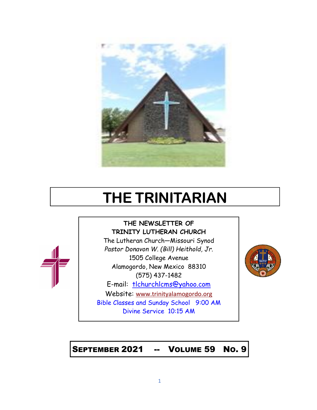

# **THE TRINITARIAN**



The Lutheran Church—Missouri Synod *Pastor Donavon W. (Bill) Heithold, Jr.* 1505 College Avenue Alamogordo, New Mexico 88310 (575) 437-1482 E-mail: tlchurchlcms@yahoo.com Website: [www.trinityalamogordo.org](http://www.tlcalamogordo/) Bible Classes and Sunday School 9:00 AM Divine Service 10:15 AM



SEPTEMBER 2021 -- VOLUME 59 NO. 9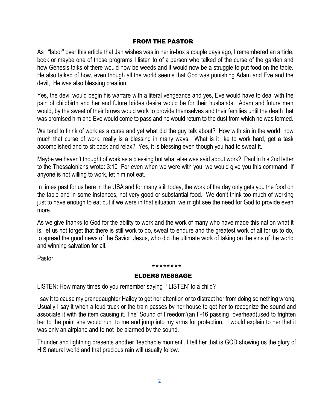# FROM THE PASTOR

As I "labor" over this article that Jan wishes was in her in-box a couple days ago, I remembered an article, book or maybe one of those programs I listen to of a person who talked of the curse of the garden and how Genesis talks of there would now be weeds and it would now be a struggle to put food on the table. He also talked of how, even though all the world seems that God was punishing Adam and Eve and the devil, He was also blessing creation.

Yes, the devil would begin his warfare with a literal vengeance and yes, Eve would have to deal with the pain of childbirth and her and future brides desire would be for their husbands. Adam and future men would, by the sweat of their brows would work to provide themselves and their families until the death that was promised him and Eve would come to pass and he would return to the dust from which he was formed.

We tend to think of work as a curse and yet what did the guy talk about? How with sin in the world, how much that curse of work, really is a blessing in many ways. What is it like to work hard, get a task accomplished and to sit back and relax? Yes, it is blessing even though you had to sweat it.

Maybe we haven't thought of work as a blessing but what else was said about work? Paul in his 2nd letter to the Thessalonians wrote: 3:10 For even when we were with you, we would give you this command: If anyone is not willing to work, let him not eat.

In times past for us here in the USA and for many still today, the work of the day only gets you the food on the table and in some instances, not very good or substantial food. We don't think too much of working just to have enough to eat but if we were in that situation, we might see the need for God to provide even more.

As we give thanks to God for the ability to work and the work of many who have made this nation what it is, let us not forget that there is still work to do, sweat to endure and the greatest work of all for us to do, to spread the good news of the Savior, Jesus, who did the ultimate work of taking on the sins of the world and winning salvation for all.

Pastor

# \*\*\*\*\*\*\*\* ELDERS MESSAGE

LISTEN: How many times do you remember saying ' LISTEN' to a child?

I say it to cause my granddaughter Hailey to get her attention or to distract her from doing something wrong. Usually I say it when a loud truck or the train passes by her house to get her to recognize the sound and associate it with the item causing it. The' Sound of Freedom'(an F-16 passing overhead)used to frighten her to the point she would run to me and jump into my arms for protection. I would explain to her that it was only an airplane and to not be alarmed by the sound.

Thunder and lightning presents another 'teachable moment'. I tell her that is GOD showing us the glory of HIS natural world and that precious rain will usually follow.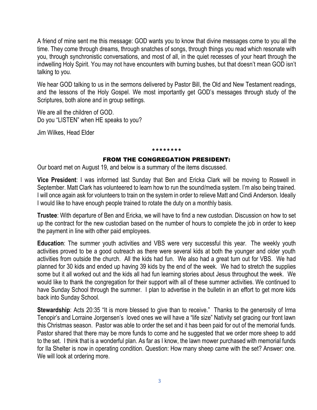A friend of mine sent me this message: GOD wants you to know that divine messages come to you all the time. They come through dreams, through snatches of songs, through things you read which resonate with you, through synchronistic conversations, and most of all, in the quiet recesses of your heart through the indwelling Holy Spirit. You may not have encounters with burning bushes, but that doesn't mean GOD isn't talking to you.

We hear GOD talking to us in the sermons delivered by Pastor Bill, the Old and New Testament readings, and the lessons of the Holy Gospel. We most importantly get GOD's messages through study of the Scriptures, both alone and in group settings.

We are all the children of GOD. Do you "LISTEN" when HE speaks to you?

Jim Wilkes, Head Elder

#### \*\*\*\*\*\*\*\*

# FROM THE CONGREGATION PRESIDENT:

Our board met on August 19, and below is a summary of the items discussed.

**Vice President**: I was informed last Sunday that Ben and Ericka Clark will be moving to Roswell in September. Matt Clark has volunteered to learn how to run the sound/media system. I'm also being trained. I will once again ask for volunteers to train on the system in order to relieve Matt and Cindi Anderson. Ideally I would like to have enough people trained to rotate the duty on a monthly basis.

**Trustee**: With departure of Ben and Ericka, we will have to find a new custodian. Discussion on how to set up the contract for the new custodian based on the number of hours to complete the job in order to keep the payment in line with other paid employees.

**Education**: The summer youth activities and VBS were very successful this year. The weekly youth activities proved to be a good outreach as there were several kids at both the younger and older youth activities from outside the church. All the kids had fun. We also had a great turn out for VBS. We had planned for 30 kids and ended up having 39 kids by the end of the week. We had to stretch the supplies some but it all worked out and the kids all had fun learning stories about Jesus throughout the week. We would like to thank the congregation for their support with all of these summer activities. We continued to have Sunday School through the summer. I plan to advertise in the bulletin in an effort to get more kids back into Sunday School.

**Stewardship**: Acts 20:35 "It is more blessed to give than to receive." Thanks to the generosity of Irma Tenopir's and Lorraine Jorgensen's loved ones we will have a "life size" Nativity set gracing our front lawn this Christmas season. Pastor was able to order the set and it has been paid for out of the memorial funds. Pastor shared that there may be more funds to come and he suggested that we order more sheep to add to the set. I think that is a wonderful plan. As far as I know, the lawn mower purchased with memorial funds for Ila Shelter is now in operating condition. Question: How many sheep came with the set? Answer: one. We will look at ordering more.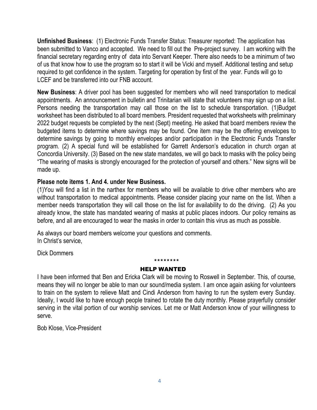**Unfinished Business**: (1) Electronic Funds Transfer Status: Treasurer reported: The application has been submitted to Vanco and accepted. We need to fill out the Pre-project survey. I am working with the financial secretary regarding entry of data into Servant Keeper. There also needs to be a minimum of two of us that know how to use the program so to start it will be Vicki and myself. Additional testing and setup required to get confidence in the system. Targeting for operation by first of the year. Funds will go to LCEF and be transferred into our FNB account.

**New Business**: A driver pool has been suggested for members who will need transportation to medical appointments. An announcement in bulletin and Trinitarian will state that volunteers may sign up on a list. Persons needing the transportation may call those on the list to schedule transportation. (1)Budget worksheet has been distributed to all board members. President requested that worksheets with preliminary 2022 budget requests be completed by the next (Sept) meeting. He asked that board members review the budgeted items to determine where savings may be found. One item may be the offering envelopes to determine savings by going to monthly envelopes and/or participation in the Electronic Funds Transfer program. (2) A special fund will be established for Garrett Anderson's education in church organ at Concordia University. (3) Based on the new state mandates, we will go back to masks with the policy being "The wearing of masks is strongly encouraged for the protection of yourself and others." New signs will be made up.

# **Please note items 1. And 4. under New Business.**

(1)You will find a list in the narthex for members who will be available to drive other members who are without transportation to medical appointments. Please consider placing your name on the list. When a member needs transportation they will call those on the list for availability to do the driving. (2) As you already know, the state has mandated wearing of masks at public places indoors. Our policy remains as before, and all are encouraged to wear the masks in order to contain this virus as much as possible.

As always our board members welcome your questions and comments. In Christ's service,

Dick Dommers

# HELP WANTED

\*\*\*\*\*\*\*\*

I have been informed that Ben and Ericka Clark will be moving to Roswell in September. This, of course, means they will no longer be able to man our sound/media system. I am once again asking for volunteers to train on the system to relieve Matt and Cindi Anderson from having to run the system every Sunday. Ideally, I would like to have enough people trained to rotate the duty monthly. Please prayerfully consider serving in the vital portion of our worship services. Let me or Matt Anderson know of your willingness to serve.

Bob Klose, Vice-President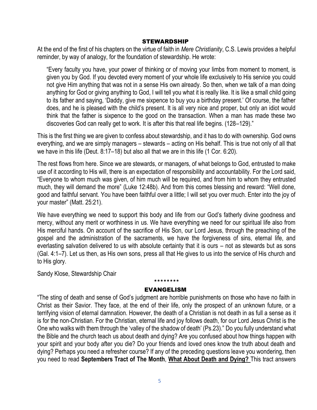## **STEWARDSHIP**

At the end of the first of his chapters on the virtue of faith in *Mere Christianity*, C.S. Lewis provides a helpful reminder, by way of analogy, for the foundation of stewardship. He wrote:

"Every faculty you have, your power of thinking or of moving your limbs from moment to moment, is given you by God. If you devoted every moment of your whole life exclusively to His service you could not give Him anything that was not in a sense His own already. So then, when we talk of a man doing anything for God or giving anything to God, I will tell you what it is really like. It is like a small child going to its father and saying, 'Daddy, give me sixpence to buy you a birthday present.' Of course, the father does, and he is pleased with the child's present. It is all very nice and proper, but only an idiot would think that the father is sixpence to the good on the transaction. When a man has made these two discoveries God can really get to work. It is after this that real life begins. (128–129)."

This is the first thing we are given to confess about stewardship, and it has to do with ownership. God owns everything, and we are simply managers – stewards – acting on His behalf. This is true not only of all that we have in this life (Deut. 8:17–18) but also all that we are in this life (1 Cor. 6:20).

The rest flows from here. Since we are stewards, or managers, of what belongs to God, entrusted to make use of it according to His will, there is an expectation of responsibility and accountability. For the Lord said, "Everyone to whom much was given, of him much will be required, and from him to whom they entrusted much, they will demand the more" (Luke 12:48b). And from this comes blessing and reward: "Well done, good and faithful servant. You have been faithful over a little; I will set you over much. Enter into the joy of your master" (Matt. 25:21).

We have everything we need to support this body and life from our God's fatherly divine goodness and mercy, without any merit or worthiness in us. We have everything we need for our spiritual life also from His merciful hands. On account of the sacrifice of His Son, our Lord Jesus, through the preaching of the gospel and the administration of the sacraments, we have the forgiveness of sins, eternal life, and everlasting salvation delivered to us with absolute certainty that it is ours – not as stewards but as sons (Gal. 4:1–7). Let us then, as His own sons, press all that He gives to us into the service of His church and to His glory.

Sandy Klose, Stewardship Chair

# \*\*\*\*\*\*\*\* EVANGELISM

"The sting of death and sense of God's judgment are horrible punishments on those who have no faith in Christ as their Savior. They face, at the end of their life, only the prospect of an unknown future, or a terrifying vision of eternal damnation. However, the death of a Christian is not death in as full a sense as it is for the non-Christian. For the Christian, eternal life and joy follows death, for our Lord Jesus Christ is the One who walks with them through the 'valley of the shadow of death' (Ps.23)." Do you fully understand what the Bible and the church teach us about death and dying? Are you confused about how things happen with your spirit and your body after you die? Do your friends and loved ones know the truth about death and dying? Perhaps you need a refresher course? If any of the preceding questions leave you wondering, then you need to read **Septembers Tract of The Month**, **What About Death and Dying?** This tract answers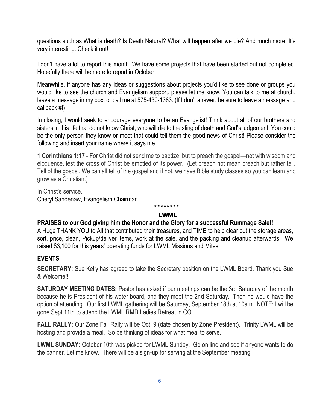questions such as What is death? Is Death Natural? What will happen after we die? And much more! It's very interesting. Check it out!

I don't have a lot to report this month. We have some projects that have been started but not completed. Hopefully there will be more to report in October.

Meanwhile, if anyone has any ideas or suggestions about projects you'd like to see done or groups you would like to see the church and Evangelism support, please let me know. You can talk to me at church, leave a message in my box, or call me at 575-430-1383. (If I don't answer, be sure to leave a message and callback #!)

In closing, I would seek to encourage everyone to be an Evangelist! Think about all of our brothers and sisters in this life that do not know Christ, who will die to the sting of death and God's judgement. You could be the only person they know or meet that could tell them the good news of Christ! Please consider the following and insert your name where it says me.

**1 Corinthians 1:17** - For Christ did not send me to baptize, but to preach the gospel—not with wisdom and eloquence, lest the cross of Christ be emptied of its power. (Let preach not mean preach but rather tell. Tell of the gospel. We can all tell of the gospel and if not, we have Bible study classes so you can learn and grow as a Christian.)

In Christ's service, Cheryl Sandenaw, Evangelism Chairman

# LWML

\*\*\*\*\*\*\*\*

# **PRAISES to our God giving him the Honor and the Glory for a successful Rummage Sale!!**

A Huge THANK YOU to All that contributed their treasures, and TIME to help clear out the storage areas, sort, price, clean, Pickup/deliver items, work at the sale, and the packing and cleanup afterwards. We raised \$3,100 for this years' operating funds for LWML Missions and Mites.

# **EVENTS**

**SECRETARY:** Sue Kelly has agreed to take the Secretary position on the LWML Board. Thank you Sue & Welcome!!

**SATURDAY MEETING DATES:** Pastor has asked if our meetings can be the 3rd Saturday of the month because he is President of his water board, and they meet the 2nd Saturday. Then he would have the option of attending. Our first LWML gathering will be Saturday, September 18th at 10a.m. NOTE: I will be gone Sept.11th to attend the LWML RMD Ladies Retreat in CO.

**FALL RALLY:** Our Zone Fall Rally will be Oct. 9 (date chosen by Zone President). Trinity LWML will be hosting and provide a meal. So be thinking of ideas for what meal to serve.

**LWML SUNDAY:** October 10th was picked for LWML Sunday. Go on line and see if anyone wants to do the banner. Let me know. There will be a sign-up for serving at the September meeting.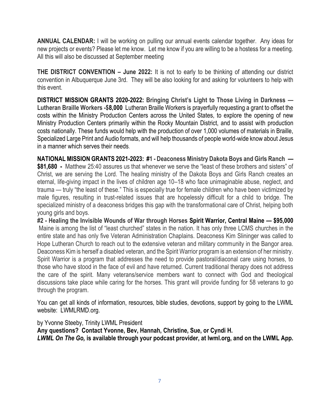**ANNUAL CALENDAR:** I will be working on pulling our annual events calendar together. Any ideas for new projects or events? Please let me know. Let me know if you are willing to be a hostess for a meeting. All this will also be discussed at September meeting

**THE DISTRICT CONVENTION – June 2022:** It is not to early to be thinking of attending our district convention in Albuquerque June 3rd. They will be also looking for and asking for volunteers to help with this event.

**DISTRICT MISSION GRANTS 2020-2022: Bringing Christ's Light to Those Living in Darkness — Lutheran Braille Workers -\$8,000** Lutheran Braille Workers is prayerfully requesting a grant to offset the costs within the Ministry Production Centers across the United States, to explore the opening of new Ministry Production Centers primarily within the Rocky Mountain District, and to assist with production costs nationally. These funds would help with the production of over 1,000 volumes of materials in Braille, Specialized Large Print and Audio formats, and will help thousands of people world-wide know about Jesus in a manner which serves their needs.

**NATIONAL MISSION GRANTS 2021-2023: #1 - Deaconess Ministry Dakota Boys and Girls Ranch — \$81,680 -** Matthew 25:40 assures us that whenever we serve the "least of these brothers and sisters" of Christ, we are serving the Lord. The healing ministry of the Dakota Boys and Girls Ranch creates an eternal, life-giving impact in the lives of children age 10–18 who face unimaginable abuse, neglect, and trauma — truly "the least of these." This is especially true for female children who have been victimized by male figures, resulting in trust-related issues that are hopelessly difficult for a child to bridge. The specialized ministry of a deaconess bridges this gap with the transformational care of Christ, helping both young girls and boys.

**#2 - Healing the Invisible Wounds of War through Horses Spirit Warrior, Central Maine — \$95,000** Maine is among the list of "least churched" states in the nation. It has only three LCMS churches in the entire state and has only five Veteran Administration Chaplains. Deaconess Kim Slininger was called to Hope Lutheran Church to reach out to the extensive veteran and military community in the Bangor area. Deaconess Kim is herself a disabled veteran, and the Spirit Warrior program is an extension of her ministry. Spirit Warrior is a program that addresses the need to provide pastoral/diaconal care using horses, to those who have stood in the face of evil and have returned. Current traditional therapy does not address the care of the spirit. Many veterans/service members want to connect with God and theological discussions take place while caring for the horses. This grant will provide funding for 58 veterans to go through the program.

You can get all kinds of information, resources, bible studies, devotions, support by going to the LWML website: LWMLRMD.org.

by Yvonne Steeby, Trinity LWML President **Any questions? Contact Yvonne, Bev, Hannah, Christine, Sue, or Cyndi H.** *LWML On The Go,* **is available through your podcast provider, at lwml.org, and on the LWML App.**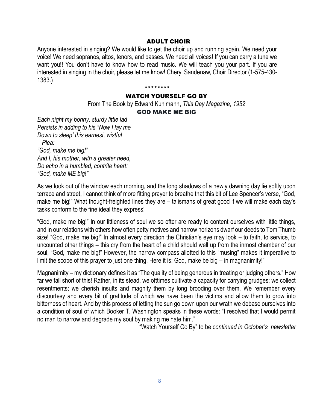## ADULT CHOIR

Anyone interested in singing? We would like to get the choir up and running again. We need your voice! We need sopranos, altos, tenors, and basses. We need all voices! If you can carry a tune we want you!! You don't have to know how to read music. We will teach you your part. If you are interested in singing in the choir, please let me know! Cheryl Sandenaw, Choir Director (1-575-430- 1383.)

\*\*\*\*\*\*\*\*

# WATCH YOURSELF GO BY

From The Book by Edward Kuhlmann, *This Day Magazine, 1952*

# GOD MAKE ME BIG

*Each night my bonny, sturdy little lad Persists in adding to his "Now I lay me Down to sleep' this earnest, wistful Plea: "God, make me big!" And I, his mother, with a greater need, Do echo in a humbled, contrite heart: "God, make ME big!"* 

As we look out of the window each morning, and the long shadows of a newly dawning day lie softly upon terrace and street, I cannot think of more fitting prayer to breathe that this bit of Lee Spencer's verse, "God, make me big!" What thought-freighted lines they are – talismans of great good if we will make each day's tasks conform to the fine ideal they express!

"God, make me big!" In our littleness of soul we so ofter are ready to content ourselves with little things, and in our relations with others how often petty motives and narrow horizons dwarf our deeds to Tom Thumb size! "God, make me big!" In almost every direction the Christian's eye may look – to faith, to service, to uncounted other things – this cry from the heart of a child should well up from the inmost chamber of our soul, "God, make me big!" However, the narrow compass allotted to this "musing" makes it imperative to limit the scope of this prayer to just one thing. Here it is: God, make be big – in magnanimity!"

Magnanimity – my dictionary defines it as "The quality of being generous in treating or judging others." How far we fall short of this! Rather, in its stead, we ofttimes cultivate a capacity for carrying grudges; we collect resentments; we cherish insults and magnify them by long brooding over them. We remember every discourtesy and every bit of gratitude of which we have been the victims and allow them to grow into bitterness of heart. And by this process of letting the sun go down upon our wrath we debase ourselves into a condition of soul of which Booker T. Washington speaks in these words: "I resolved that I would permit no man to narrow and degrade my soul by making me hate him."

"Watch Yourself Go By" to be c*ontinued in October's newsletter*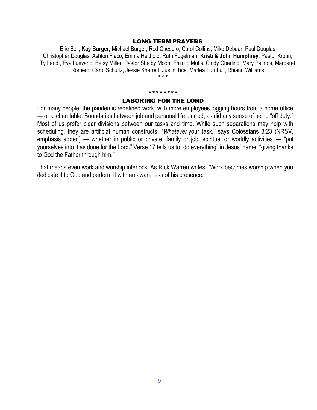#### LONG-TERM PRAYERS

Eric Bell, **Kay Burger,** Michael Burger, Red Chesbro, Carol Collins, Mike Debaar, Paul Douglas Christopher Douglas, Ashton Flaco, Emma Heithold, Ruth Fogelman, **Kristi & John Humphrey,** Pastor Krohn, Ty Landt, Eva Luevano, Betsy Miller, Pastor Shelby Moon, Emiclio Mutis, Cindy Oberling, Mary Palmos, Margaret Romero, Carol Schultz, Jessie Sharrett, Justin Tice, Marlea Turnbull, Rhiann Williams \*\*\*

#### \*\*\*\*\*\*\*\*

#### LABORING FOR THE LORD

For many people, the pandemic redefined work, with more employees logging hours from a home office — or kitchen table. Boundaries between job and personal life blurred, as did any sense of being "off duty." Most of us prefer clear divisions between our tasks and time. While such separations may help with scheduling, they are artificial human constructs. "*Whatever* your task," says Colossians 3:23 (NRSV, emphasis added) — whether in public or private, family or job, spiritual or worldly activities — "put yourselves into it as done for the Lord." Verse 17 tells us to "do everything" in Jesus' name, "giving thanks to God the Father through him."

That means even work and worship interlock. As Rick Warren writes, "Work becomes worship when you dedicate it to God and perform it with an awareness of his presence."